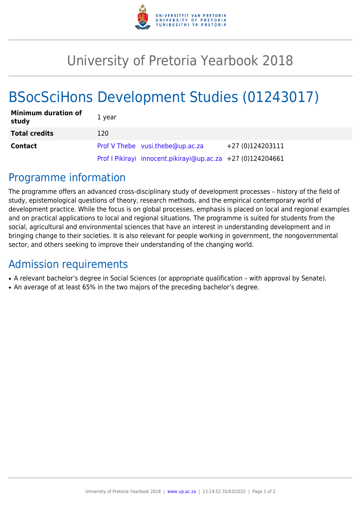

## University of Pretoria Yearbook 2018

# BSocSciHons Development Studies (01243017)

| <b>Minimum duration of</b><br>study | 1 year                                                      |                  |
|-------------------------------------|-------------------------------------------------------------|------------------|
| <b>Total credits</b>                | 120                                                         |                  |
| <b>Contact</b>                      | Prof V Thebe vusi.thebe@up.ac.za                            | +27 (0)124203111 |
|                                     | Prof I Pikirayi innocent.pikirayi@up.ac.za +27 (0)124204661 |                  |

### Programme information

The programme offers an advanced cross-disciplinary study of development processes – history of the field of study, epistemological questions of theory, research methods, and the empirical contemporary world of development practice. While the focus is on global processes, emphasis is placed on local and regional examples and on practical applications to local and regional situations. The programme is suited for students from the social, agricultural and environmental sciences that have an interest in understanding development and in bringing change to their societies. It is also relevant for people working in government, the nongovernmental sector, and others seeking to improve their understanding of the changing world.

### Admission requirements

- A relevant bachelor's degree in Social Sciences (or appropriate qualification with approval by Senate).
- An average of at least 65% in the two majors of the preceding bachelor's degree.